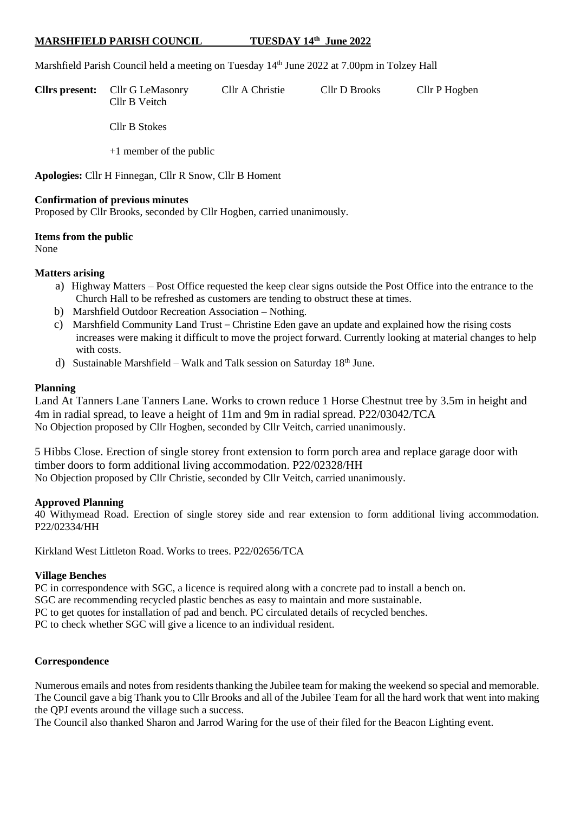## **MARSHFIELD PARISH COUNCIL TUESDAY 14th June 2022**

Marshfield Parish Council held a meeting on Tuesday 14<sup>th</sup> June 2022 at 7.00pm in Tolzey Hall

**Cllrs present:** Cllr G LeMasonry Cllr A Christie Cllr D Brooks Cllr P Hogben Cllr B Veitch

Cllr B Stokes

+1 member of the public

**Apologies:** Cllr H Finnegan, Cllr R Snow, Cllr B Homent

#### **Confirmation of previous minutes**

Proposed by Cllr Brooks, seconded by Cllr Hogben, carried unanimously.

**Items from the public**

None

#### **Matters arising**

- a) Highway Matters Post Office requested the keep clear signs outside the Post Office into the entrance to the Church Hall to be refreshed as customers are tending to obstruct these at times.
- b) Marshfield Outdoor Recreation Association Nothing.
- c) Marshfield Community Land Trust *–* Christine Eden gave an update and explained how the rising costs increases were making it difficult to move the project forward. Currently looking at material changes to help with costs.
- d) Sustainable Marshfield Walk and Talk session on Saturday 18<sup>th</sup> June.

#### **Planning**

Land At Tanners Lane Tanners Lane. Works to crown reduce 1 Horse Chestnut tree by 3.5m in height and 4m in radial spread, to leave a height of 11m and 9m in radial spread. P22/03042/TCA No Objection proposed by Cllr Hogben, seconded by Cllr Veitch, carried unanimously.

5 Hibbs Close. Erection of single storey front extension to form porch area and replace garage door with timber doors to form additional living accommodation. P22/02328/HH No Objection proposed by Cllr Christie, seconded by Cllr Veitch, carried unanimously.

## **Approved Planning**

40 Withymead Road. Erection of single storey side and rear extension to form additional living accommodation. P22/02334/HH

Kirkland West Littleton Road. Works to trees. P22/02656/TCA

## **Village Benches**

PC in correspondence with SGC, a licence is required along with a concrete pad to install a bench on. SGC are recommending recycled plastic benches as easy to maintain and more sustainable. PC to get quotes for installation of pad and bench. PC circulated details of recycled benches. PC to check whether SGC will give a licence to an individual resident.

## **Correspondence**

Numerous emails and notes from residents thanking the Jubilee team for making the weekend so special and memorable. The Council gave a big Thank you to Cllr Brooks and all of the Jubilee Team for all the hard work that went into making the QPJ events around the village such a success.

The Council also thanked Sharon and Jarrod Waring for the use of their filed for the Beacon Lighting event.